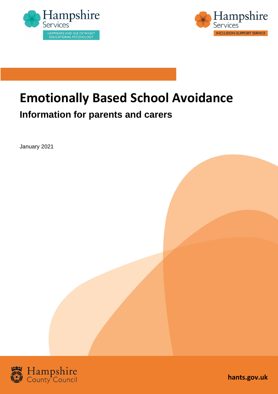



# **Emotionally Based School Avoidance**

### **Information for parents and carers**

January 2021



**hants.gov.uk**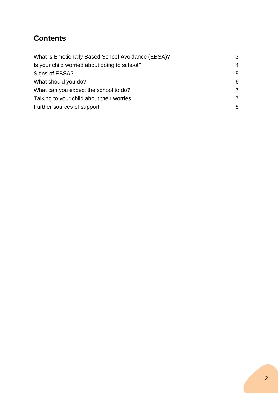### **Contents**

| What is Emotionally Based School Avoidance (EBSA)? | 3 |
|----------------------------------------------------|---|
| Is your child worried about going to school?       | 4 |
| Signs of EBSA?                                     | 5 |
| What should you do?                                | 6 |
| What can you expect the school to do?              | 7 |
| Talking to your child about their worries          | 7 |
| Further sources of support                         | 8 |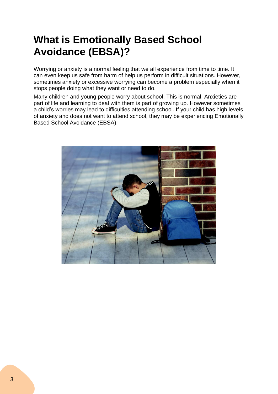## **What is Emotionally Based School Avoidance (EBSA)?**

Worrying or anxiety is a normal feeling that we all experience from time to time. It can even keep us safe from harm of help us perform in difficult situations. However, sometimes anxiety or excessive worrying can become a problem especially when it stops people doing what they want or need to do.

Many children and young people worry about school. This is normal. Anxieties are part of life and learning to deal with them is part of growing up. However sometimes a child's worries may lead to difficulties attending school. If your child has high levels of anxiety and does not want to attend school, they may be experiencing Emotionally Based School Avoidance (EBSA).

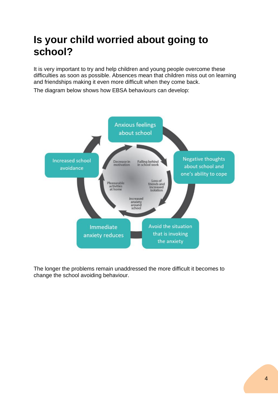### **Is your child worried about going to school?**

It is very important to try and help children and young people overcome these difficulties as soon as possible. Absences mean that children miss out on learning and friendships making it even more difficult when they come back.

The diagram below shows how EBSA behaviours can develop:



The longer the problems remain unaddressed the more difficult it becomes to change the school avoiding behaviour.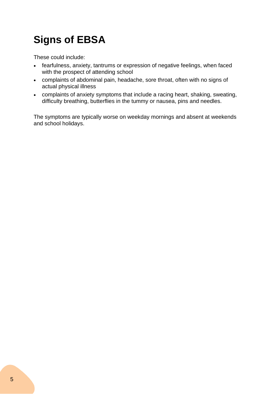## **Signs of EBSA**

These could include:

- fearfulness, anxiety, tantrums or expression of negative feelings, when faced with the prospect of attending school
- complaints of abdominal pain, headache, sore throat, often with no signs of actual physical illness
- complaints of anxiety symptoms that include a racing heart, shaking, sweating, difficulty breathing, butterflies in the tummy or nausea, pins and needles.

The symptoms are typically worse on weekday mornings and absent at weekends and school holidays.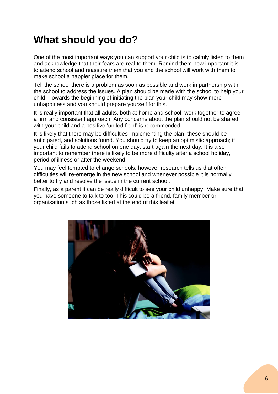## **What should you do?**

One of the most important ways you can support your child is to calmly listen to them and acknowledge that their fears are real to them. Remind them how important it is to attend school and reassure them that you and the school will work with them to make school a happier place for them.

Tell the school there is a problem as soon as possible and work in partnership with the school to address the issues. A plan should be made with the school to help your child. Towards the beginning of initiating the plan your child may show more unhappiness and you should prepare yourself for this.

It is really important that all adults, both at home and school, work together to agree a firm and consistent approach. Any concerns about the plan should not be shared with your child and a positive 'united front' is recommended.

It is likely that there may be difficulties implementing the plan; these should be anticipated, and solutions found. You should try to keep an optimistic approach; if your child fails to attend school on one day, start again the next day. It is also important to remember there is likely to be more difficulty after a school holiday, period of illness or after the weekend.

You may feel tempted to change schools, however research tells us that often difficulties will re-emerge in the new school and whenever possible it is normally better to try and resolve the issue in the current school.

Finally, as a parent it can be really difficult to see your child unhappy. Make sure that you have someone to talk to too. This could be a friend, family member or organisation such as those listed at the end of this leaflet.

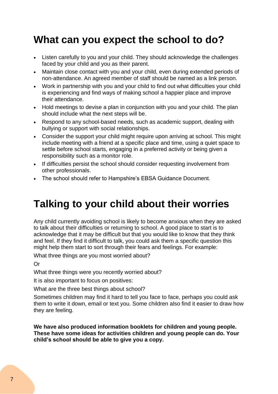### **What can you expect the school to do?**

- Listen carefully to you and your child. They should acknowledge the challenges faced by your child and you as their parent.
- Maintain close contact with you and your child, even during extended periods of non-attendance. An agreed member of staff should be named as a link person.
- Work in partnership with you and your child to find out what difficulties your child is experiencing and find ways of making school a happier place and improve their attendance.
- Hold meetings to devise a plan in conjunction with you and your child. The plan should include what the next steps will be.
- Respond to any school-based needs, such as academic support, dealing with bullying or support with social relationships.
- Consider the support your child might require upon arriving at school. This might include meeting with a friend at a specific place and time, using a quiet space to settle before school starts, engaging in a preferred activity or being given a responsibility such as a monitor role.
- If difficulties persist the school should consider requesting involvement from other professionals.
- The school should refer to Hampshire's EBSA Guidance Document.

### **Talking to your child about their worries**

Any child currently avoiding school is likely to become anxious when they are asked to talk about their difficulties or returning to school. A good place to start is to acknowledge that it may be difficult but that you would like to know that they think and feel. If they find it difficult to talk, you could ask them a specific question this might help them start to sort through their fears and feelings. For example:

What three things are you most worried about?

Or

What three things were you recently worried about?

It is also important to focus on positives:

What are the three best things about school?

Sometimes children may find it hard to tell you face to face, perhaps you could ask them to write it down, email or text you. Some children also find it easier to draw how they are feeling.

**We have also produced information booklets for children and young people. These have some ideas for activities children and young people can do. Your child's school should be able to give you a copy.**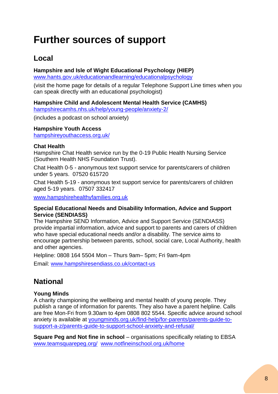## **Further sources of support**

#### **Local**

#### **Hampshire and Isle of Wight Educational Psychology (HIEP)**

[www.hants.gov.uk/educationandlearning/educationalpsychology](http://www.hants.gov.uk/educationandlearning/educationalpsychology)

(visit the home page for details of a regular Telephone Support Line times when you can speak directly with an educational psychologist)

#### **Hampshire Child and Adolescent Mental Health Service (CAMHS)**

[hampshirecamhs.nhs.uk/help/young-people/anxiety-2/](https://hampshirecamhs.nhs.uk/help/young-people/anxiety-2/)

(includes a podcast on school anxiety)

#### **Hampshire Youth Access**

[hampshireyouthaccess.org.uk/](https://hampshireyouthaccess.org.uk/)

#### **Chat Health**

Hampshire Chat Health service run by the 0-19 Public Health Nursing Service (Southern Health NHS Foundation Trust).

Chat Health 0-5 - anonymous text support service for parents/carers of children under 5 years. 07520 615720

Chat Health 5-19 - anonymous text support service for parents/carers of children aged 5-19 years. 07507 332417

[www.hampshirehealthyfamilies.org.uk](http://www.hampshirehealthyfamilies.org.uk/)

#### **Special Educational Needs and Disability Information, Advice and Support Service (SENDIASS)**

The Hampshire SEND Information, Advice and Support Service (SENDIASS) provide impartial information, advice and support to parents and carers of children who have special educational needs and/or a disability. The service aims to encourage partnership between parents, school, social care, Local Authority, health and other agencies.

Helpline: 0808 164 5504 Mon – Thurs 9am– 5pm; Fri 9am-4pm

Email: [www.hampshiresendiass.co.uk/contact-us](http://www.hampshiresendiass.co.uk/contact-us)

### **National**

#### **Young Minds**

A charity championing the wellbeing and mental health of young people. They publish a range of information for parents. They also have a parent helpline. Calls are free Mon-Fri from 9.30am to 4pm 0808 802 5544. Specific advice around school anxiety is available at [youngminds.org.uk/find-help/for-parents/parents-guide-to](https://youngminds.org.uk/find-help/for-parents/parents-guide-to-support-a-z/parents-guide-to-support-school-anxiety-and-refusal/)[support-a-z/parents-guide-to-support-school-anxiety-and-refusal/](https://youngminds.org.uk/find-help/for-parents/parents-guide-to-support-a-z/parents-guide-to-support-school-anxiety-and-refusal/)

**Square Peg and Not fine in school** *–* organisations specifically relating to EBSA [www.teamsquarepeg.org/](http://www.teamsquarepeg.org/) [www.notfineinschool.org.uk/home](http://www.notfineinschool.org.uk/home)